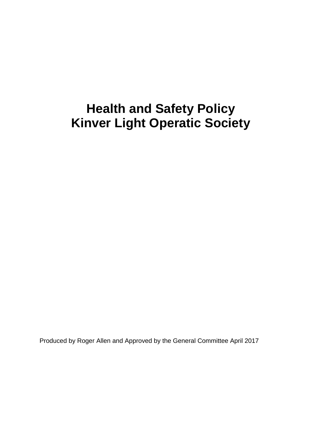# **Health and Safety Policy Kinver Light Operatic Society**

Produced by Roger Allen and Approved by the General Committee April 2017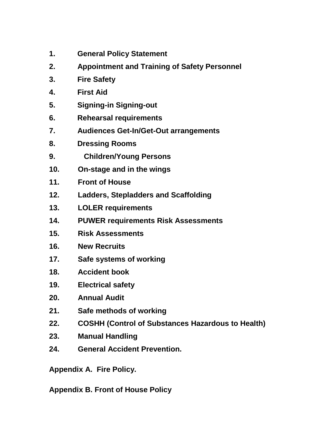- **1. [General Policy Statement](http://www.wokingham-theatre.org.uk/WokinghamTheatreHealthandSafety.htm#GeneralPolicy)**
- **2. [Appointment and Training of Safety Personnel](http://www.wokingham-theatre.org.uk/WokinghamTheatreHealthandSafety.htm#Appointment)**
- **3. [Fire Safety](http://www.wokingham-theatre.org.uk/WokinghamTheatreHealthandSafety.htm#FireSafety)**
- **4. [First Aid](http://www.wokingham-theatre.org.uk/WokinghamTheatreHealthandSafety.htm#FirstAid)**
- **5. Signing-in Signing-out**
- **6. [Rehearsal requirements](http://www.wokingham-theatre.org.uk/WokinghamTheatreHealthandSafety.htm#Rehearsals)**
- **7. Audiences [Get-In/Get-Out arrangements](http://www.wokingham-theatre.org.uk/WokinghamTheatreHealthandSafety.htm#GetInGetOut)**
- **8. [Dressing Rooms](http://www.wokingham-theatre.org.uk/WokinghamTheatreHealthandSafety.htm#DressingRooms)**
- **9. [Children/](http://www.wokingham-theatre.org.uk/WokinghamTheatreHealthandSafety.htm#Children)Young Persons**
- **10. [On-stage and in the wings](http://www.wokingham-theatre.org.uk/WokinghamTheatreHealthandSafety.htm#OnStage)**
- **11. [Front of House](http://www.wokingham-theatre.org.uk/WokinghamTheatreHealthandSafety.htm#FOH)**
- **12. [Ladders, Stepladders](http://www.wokingham-theatre.org.uk/WokinghamTheatreHealthandSafety.htm#Ladders) and Scaffolding**
- **13. [LOLER requirements](http://www.wokingham-theatre.org.uk/WokinghamTheatreHealthandSafety.htm#LOLER)**
- **14. PUWER [requirements](http://www.wokingham-theatre.org.uk/WokinghamTheatreHealthandSafety.htm#PUWER) [Risk Assessments](http://www.wokingham-theatre.org.uk/WokinghamTheatreHealthandSafety.htm#RiskAssessment)**
- **15. Risk Assessments**
- **16. New Recruits**
- **17. [Safe systems of working](http://www.wokingham-theatre.org.uk/WokinghamTheatreHealthandSafety.htm#SafeSystem)**
- **18. [Accident book](http://www.wokingham-theatre.org.uk/WokinghamTheatreHealthandSafety.htm#AccidentBook)**
- **19. [Electrical safety](http://www.wokingham-theatre.org.uk/WokinghamTheatreHealthandSafety.htm#LXSafety)**
- **20. [Annual Audit](http://www.wokingham-theatre.org.uk/WokinghamTheatreHealthandSafety.htm#Audit)**
- **21. [Safe methods of working](http://www.wokingham-theatre.org.uk/WokinghamTheatreHealthandSafety.htm#SafeMethods)**
- **22. COSHH (Control of Substances Hazardous to Health)**
- **23. Manual Handling**
- **24. General Accident Prevention.**

**Appendix A. Fire Policy.**

**Appendix B. Front of House Policy**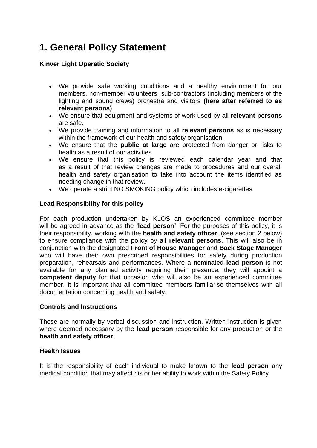# **1. General Policy Statement**

### **Kinver Light Operatic Society**

- We provide safe working conditions and a healthy environment for our members, non-member volunteers, sub-contractors (including members of the lighting and sound crews) orchestra and visitors **(here after referred to as relevant persons)**
- We ensure that equipment and systems of work used by all **relevant persons** are safe.
- We provide training and information to all **relevant persons** as is necessary within the framework of our health and safety organisation.
- We ensure that the **public at large** are protected from danger or risks to health as a result of our activities.
- We ensure that this policy is reviewed each calendar year and that as a result of that review changes are made to procedures and our overall health and safety organisation to take into account the items identified as needing change in that review.
- We operate a strict NO SMOKING policy which includes e-cigarettes.

#### **Lead Responsibility for this policy**

For each production undertaken by KLOS an experienced committee member will be agreed in advance as the **'lead person'**. For the purposes of this policy, it is their responsibility, working with the **health and safety officer**, (see section 2 below) to ensure compliance with the policy by all **relevant persons**. This will also be in conjunction with the designated **Front of House Manager** and **Back Stage Manager** who will have their own prescribed responsibilities for safety during production preparation, rehearsals and performances. Where a nominated **lead person** is not available for any planned activity requiring their presence, they will appoint a **competent deputy** for that occasion who will also be an experienced committee member. It is important that all committee members familiarise themselves with all documentation concerning health and safety.

#### **Controls and Instructions**

These are normally by verbal discussion and instruction. Written instruction is given where deemed necessary by the **lead person** responsible for any production or the **health and safety officer**.

#### **Health Issues**

It is the responsibility of each individual to make known to the **lead person** any medical condition that may affect his or her ability to work within the Safety Policy.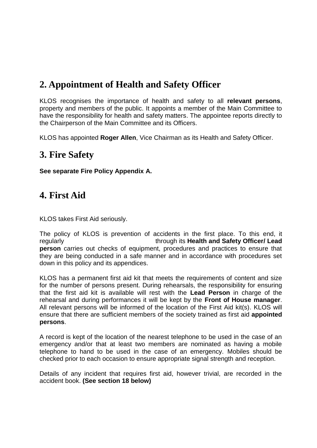### **2. Appointment of Health and Safety Officer**

KLOS recognises the importance of health and safety to all **relevant persons**, property and members of the public. It appoints a member of the Main Committee to have the responsibility for health and safety matters. The appointee reports directly to the Chairperson of the Main Committee and its Officers.

KLOS has appointed **Roger Allen**, Vice Chairman as its Health and Safety Officer.

### **3. Fire Safety**

**See separate Fire Policy Appendix A.**

### **4. First Aid**

KLOS takes First Aid seriously.

The policy of KLOS is prevention of accidents in the first place. To this end, it regularly through its **Health and Safety Officer/ Lead person** carries out checks of equipment, procedures and practices to ensure that they are being conducted in a safe manner and in accordance with procedures set down in this policy and its appendices.

KLOS has a permanent first aid kit that meets the requirements of content and size for the number of persons present. During rehearsals, the responsibility for ensuring that the first aid kit is available will rest with the **Lead Person** in charge of the rehearsal and during performances it will be kept by the **Front of House manager**. All relevant persons will be informed of the location of the First Aid kit(s). KLOS will ensure that there are sufficient members of the society trained as first aid **appointed persons**.

A record is kept of the location of the nearest telephone to be used in the case of an emergency and/or that at least two members are nominated as having a mobile telephone to hand to be used in the case of an emergency. Mobiles should be checked prior to each occasion to ensure appropriate signal strength and reception.

Details of any incident that requires first aid, however trivial, are recorded in the accident book. **(See section 18 below)**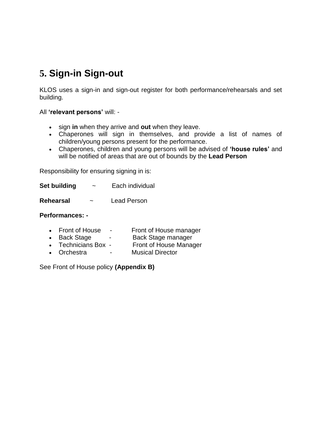# **5. Sign-in Sign-out**

KLOS uses a sign-in and sign-out register for both performance/rehearsals and set building.

All **'relevant persons'** will: -

- sign **in** when they arrive and **out** when they leave.
- Chaperones will sign in themselves, and provide a list of names of children/young persons present for the performance.
- Chaperones, children and young persons will be advised of **'house rules'** and will be notified of areas that are out of bounds by the **Lead Person**

Responsibility for ensuring signing in is:

**Set building**  $\sim$  Each individual

**Rehearsal** ~ Lead Person

#### **Performances: -**

- Front of House Front of House manager
- Back Stage Back Stage manager
- Technicians Box Front of House Manager
- Orchestra Musical Director

See Front of House policy **(Appendix B)**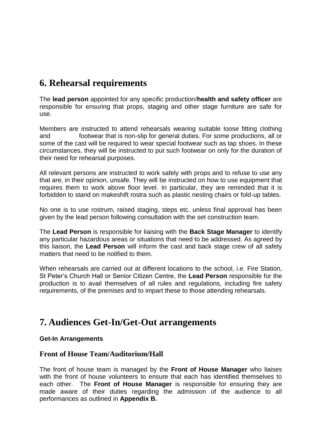### **6. Rehearsal requirements**

The **lead person** appointed for any specific production/**health and safety officer** are responsible for ensuring that props, staging and other stage furniture are safe for use.

Members are instructed to attend rehearsals wearing suitable loose fitting clothing and footwear that is non-slip for general duties. For some productions, all or some of the cast will be required to wear special footwear such as tap shoes. In these circumstances, they will be instructed to put such footwear on only for the duration of their need for rehearsal purposes.

All relevant persons are instructed to work safely with props and to refuse to use any that are, in their opinion, unsafe. They will be instructed on how to use equipment that requires them to work above floor level. In particular, they are reminded that it is forbidden to stand on makeshift rostra such as plastic nesting chairs or fold-up tables.

No one is to use rostrum, raised staging, steps etc. unless final approval has been given by the lead person following consultation with the set construction team.

The **Lead Person** is responsible for liaising with the **Back Stage Manager** to identify any particular hazardous areas or situations that need to be addressed. As agreed by this liaison, the **Lead Person** will inform the cast and back stage crew of all safety matters that need to be notified to them.

When rehearsals are carried out at different locations to the school, i.e. Fire Station, St Peter's Church Hall or Senior Citizen Centre, the **Lead Person** responsible for the production is to avail themselves of all rules and regulations, including fire safety requirements, of the premises and to impart these to those attending rehearsals.

### **7. Audiences Get-In/Get-Out arrangements**

#### **Get-In Arrangements**

### **Front of House Team/Auditorium/Hall**

The front of house team is managed by the **Front of House Manager** who liaises with the front of house volunteers to ensure that each has identified themselves to each other. The **Front of House Manager** is responsible for ensuring they are made aware of their duties regarding the admission of the audience to all performances as outlined in **Appendix B.**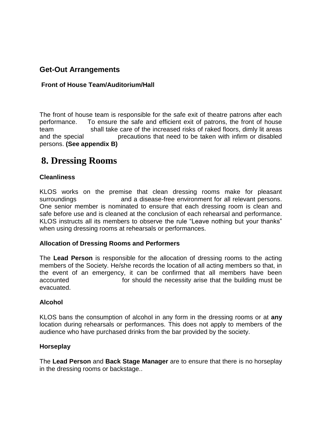### **Get-Out Arrangements**

#### **Front of House Team/Auditorium/Hall**

The front of house team is responsible for the safe exit of theatre patrons after each performance. To ensure the safe and efficient exit of patrons, the front of house team shall take care of the increased risks of raked floors, dimly lit areas and the special precautions that need to be taken with infirm or disabled persons. **(See appendix B)**

### **8. Dressing Rooms**

#### **Cleanliness**

KLOS works on the premise that clean dressing rooms make for pleasant surroundings and a disease-free environment for all relevant persons. One senior member is nominated to ensure that each dressing room is clean and safe before use and is cleaned at the conclusion of each rehearsal and performance. KLOS instructs all its members to observe the rule "Leave nothing but your thanks" when using dressing rooms at rehearsals or performances.

#### **Allocation of Dressing Rooms and Performers**

The **Lead Person** is responsible for the allocation of dressing rooms to the acting members of the Society. He/she records the location of all acting members so that, in the event of an emergency, it can be confirmed that all members have been accounted for should the necessity arise that the building must be evacuated.

#### **Alcohol**

KLOS bans the consumption of alcohol in any form in the dressing rooms or at **any** location during rehearsals or performances. This does not apply to members of the audience who have purchased drinks from the bar provided by the society.

#### **Horseplay**

The **Lead Person** and **Back Stage Manager** are to ensure that there is no horseplay in the dressing rooms or backstage..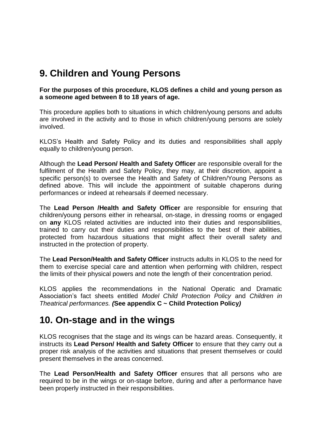### **9. Children and Young Persons**

**For the purposes of this procedure, KLOS defines a child and young person as a someone aged between 8 to 18 years of age.**

This procedure applies both to situations in which children/young persons and adults are involved in the activity and to those in which children/young persons are solely involved.

KLOS's Health and Safety Policy and its duties and responsibilities shall apply equally to children/young person.

Although the **Lead Person/ Health and Safety Officer** are responsible overall for the fulfilment of the Health and Safety Policy, they may, at their discretion, appoint a specific person(s) to oversee the Health and Safety of Children/Young Persons as defined above. This will include the appointment of suitable chaperons during performances or indeed at rehearsals if deemed necessary.

The **Lead Person /Health and Safety Officer** are responsible for ensuring that children/young persons either in rehearsal, on-stage, in dressing rooms or engaged on **any** KLOS related activities are inducted into their duties and responsibilities, trained to carry out their duties and responsibilities to the best of their abilities, protected from hazardous situations that might affect their overall safety and instructed in the protection of property.

The **Lead Person/Health and Safety Officer** instructs adults in KLOS to the need for them to exercise special care and attention when performing with children, respect the limits of their physical powers and note the length of their concentration period.

KLOS applies the recommendations in the National Operatic and Dramatic Association's fact sheets entitled *Model Child Protection Policy* and *Children in Theatrical performances. (***See appendix C ~ Child Protection Policy***)*

### **10. On-stage and in the wings**

KLOS recognises that the stage and its wings can be hazard areas. Consequently, it instructs its **Lead Person/ Health and Safety Officer** to ensure that they carry out a proper risk analysis of the activities and situations that present themselves or could present themselves in the areas concerned.

The **Lead Person/Health and Safety Officer** ensures that all persons who are required to be in the wings or on-stage before, during and after a performance have been properly instructed in their responsibilities.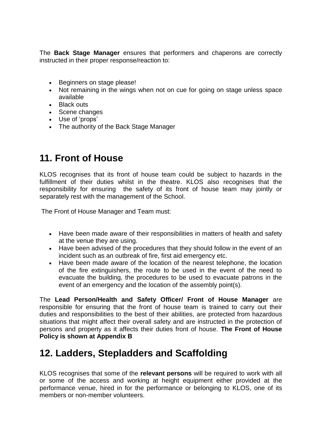The **Back Stage Manager** ensures that performers and chaperons are correctly instructed in their proper response/reaction to:

- Beginners on stage please!
- Not remaining in the wings when not on cue for going on stage unless space available
- Black outs
- Scene changes
- Use of 'props'
- The authority of the Back Stage Manager

### **11. Front of House**

KLOS recognises that its front of house team could be subject to hazards in the fulfillment of their duties whilst in the theatre. KLOS also recognises that the responsibility for ensuring the safety of its front of house team may jointly or separately rest with the management of the School.

The Front of House Manager and Team must:

- Have been made aware of their responsibilities in matters of health and safety at the venue they are using.
- Have been advised of the procedures that they should follow in the event of an incident such as an outbreak of fire, first aid emergency etc.
- Have been made aware of the location of the nearest telephone, the location of the fire extinguishers, the route to be used in the event of the need to evacuate the building, the procedures to be used to evacuate patrons in the event of an emergency and the location of the assembly point(s).

The **Lead Person/Health and Safety Officer/ Front of House Manager** are responsible for ensuring that the front of house team is trained to carry out their duties and responsibilities to the best of their abilities, are protected from hazardous situations that might affect their overall safety and are instructed in the protection of persons and property as it affects their duties front of house. **The Front of House Policy is shown at Appendix B**

### **12. Ladders, Stepladders and Scaffolding**

KLOS recognises that some of the **relevant persons** will be required to work with all or some of the access and working at height equipment either provided at the performance venue, hired in for the performance or belonging to KLOS, one of its members or non-member volunteers.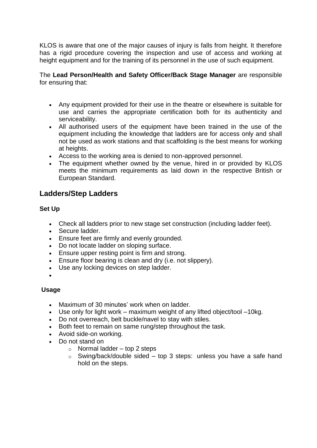KLOS is aware that one of the major causes of injury is falls from height. It therefore has a rigid procedure covering the inspection and use of access and working at height equipment and for the training of its personnel in the use of such equipment.

The **Lead Person/Health and Safety Officer/Back Stage Manager** are responsible for ensuring that:

- Any equipment provided for their use in the theatre or elsewhere is suitable for use and carries the appropriate certification both for its authenticity and serviceability.
- All authorised users of the equipment have been trained in the use of the equipment including the knowledge that ladders are for access only and shall not be used as work stations and that scaffolding is the best means for working at heights.
- Access to the working area is denied to non-approved personnel.
- The equipment whether owned by the venue, hired in or provided by KLOS meets the minimum requirements as laid down in the respective British or European Standard.

### **Ladders/Step Ladders**

#### **Set Up**

- Check all ladders prior to new stage set construction (including ladder feet).
- Secure ladder.
- Ensure feet are firmly and evenly grounded.
- Do not locate ladder on sloping surface.
- Ensure upper resting point is firm and strong.
- Ensure floor bearing is clean and dry (i.e. not slippery).
- Use any locking devices on step ladder.
- $\bullet$

### **Usage**

- Maximum of 30 minutes' work when on ladder.
- Use only for light work maximum weight of any lifted object/tool –10kg.
- Do not overreach, belt buckle/navel to stay with stiles.
- Both feet to remain on same rung/step throughout the task.
- Avoid side-on working.
- Do not stand on
	- $\circ$  Normal ladder top 2 steps
	- $\circ$  Swing/back/double sided top 3 steps: unless you have a safe hand hold on the steps.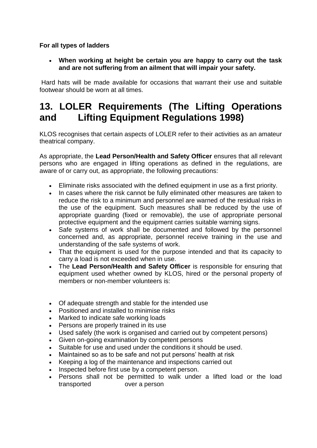#### **For all types of ladders**

 **When working at height be certain you are happy to carry out the task and are not suffering from an ailment that will impair your safety.**

Hard hats will be made available for occasions that warrant their use and suitable footwear should be worn at all times.

### **13. LOLER Requirements (The Lifting Operations and Lifting Equipment Regulations 1998)**

KLOS recognises that certain aspects of LOLER refer to their activities as an amateur theatrical company.

As appropriate, the **Lead Person/Health and Safety Officer** ensures that all relevant persons who are engaged in lifting operations as defined in the regulations, are aware of or carry out, as appropriate, the following precautions:

- Eliminate risks associated with the defined equipment in use as a first priority.
- In cases where the risk cannot be fully eliminated other measures are taken to reduce the risk to a minimum and personnel are warned of the residual risks in the use of the equipment. Such measures shall be reduced by the use of appropriate guarding (fixed or removable), the use of appropriate personal protective equipment and the equipment carries suitable warning signs.
- Safe systems of work shall be documented and followed by the personnel concerned and, as appropriate, personnel receive training in the use and understanding of the safe systems of work.
- That the equipment is used for the purpose intended and that its capacity to carry a load is not exceeded when in use.
- The **Lead Person/Health and Safety Officer** is responsible for ensuring that equipment used whether owned by KLOS, hired or the personal property of members or non-member volunteers is:
- Of adequate strength and stable for the intended use
- Positioned and installed to minimise risks
- Marked to indicate safe working loads
- Persons are properly trained in its use
- Used safely (the work is organised and carried out by competent persons)
- Given on-going examination by competent persons
- Suitable for use and used under the conditions it should be used.
- Maintained so as to be safe and not put persons' health at risk
- Keeping a log of the maintenance and inspections carried out
- Inspected before first use by a competent person.
- Persons shall not be permitted to walk under a lifted load or the load transported over a person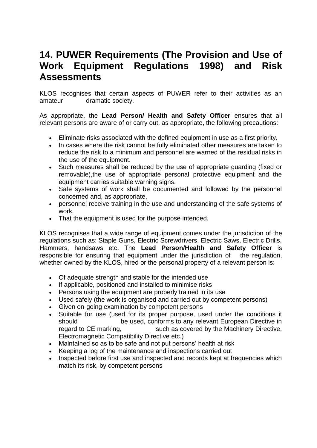### **14. PUWER Requirements (The Provision and Use of Work Equipment Regulations 1998) and Risk Assessments**

KLOS recognises that certain aspects of PUWER refer to their activities as an amateur dramatic society.

As appropriate, the **Lead Person/ Health and Safety Officer** ensures that all relevant persons are aware of or carry out, as appropriate, the following precautions:

- Eliminate risks associated with the defined equipment in use as a first priority.
- In cases where the risk cannot be fully eliminated other measures are taken to reduce the risk to a minimum and personnel are warned of the residual risks in the use of the equipment.
- Such measures shall be reduced by the use of appropriate guarding (fixed or removable),the use of appropriate personal protective equipment and the equipment carries suitable warning signs.
- Safe systems of work shall be documented and followed by the personnel concerned and, as appropriate,
- personnel receive training in the use and understanding of the safe systems of work.
- That the equipment is used for the purpose intended.

KLOS recognises that a wide range of equipment comes under the jurisdiction of the regulations such as: Staple Guns, Electric Screwdrivers, Electric Saws, Electric Drills, Hammers, handsaws etc. The **Lead Person/Health and Safety Officer** is responsible for ensuring that equipment under the jurisdiction of the regulation, whether owned by the KLOS, hired or the personal property of a relevant person is:

- Of adequate strength and stable for the intended use
- If applicable, positioned and installed to minimise risks
- Persons using the equipment are properly trained in its use
- Used safely (the work is organised and carried out by competent persons)
- Given on-going examination by competent persons
- Suitable for use (used for its proper purpose, used under the conditions it should be used, conforms to any relevant European Directive in regard to CE marking, such as covered by the Machinery Directive, Electromagnetic Compatibility Directive etc.)
- Maintained so as to be safe and not put persons' health at risk
- Keeping a log of the maintenance and inspections carried out
- Inspected before first use and inspected and records kept at frequencies which match its risk, by competent persons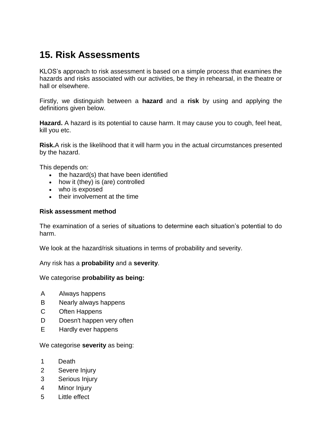# **15. Risk Assessments**

KLOS's approach to risk assessment is based on a simple process that examines the hazards and risks associated with our activities, be they in rehearsal, in the theatre or hall or elsewhere.

Firstly, we distinguish between a **hazard** and a **risk** by using and applying the definitions given below.

**Hazard.** A hazard is its potential to cause harm. It may cause you to cough, feel heat, kill you etc.

**Risk.**A risk is the likelihood that it will harm you in the actual circumstances presented by the hazard.

This depends on:

- the hazard(s) that have been identified
- how it (they) is (are) controlled
- who is exposed
- their involvement at the time

#### **Risk assessment method**

The examination of a series of situations to determine each situation's potential to do harm.

We look at the hazard/risk situations in terms of probability and severity.

Any risk has a **probability** and a **severity**.

We categorise **probability as being:**

- A Always happens
- B Nearly always happens
- C Often Happens
- D Doesn't happen very often
- E Hardly ever happens

We categorise **severity** as being:

- 1 Death
- 2 Severe Injury
- 3 Serious Injury
- 4 Minor Injury
- 5 Little effect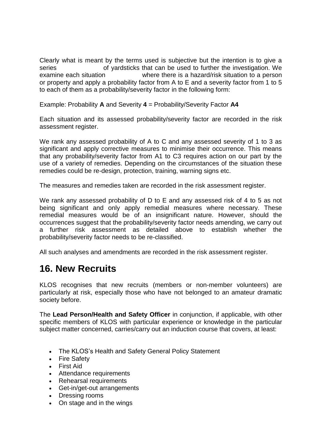Clearly what is meant by the terms used is subjective but the intention is to give a series of vardsticks that can be used to further the investigation. We examine each situation where there is a hazard/risk situation to a person or property and apply a probability factor from A to E and a severity factor from 1 to 5 to each of them as a probability/severity factor in the following form:

Example: Probability **A** and Severity **4** = Probability/Severity Factor **A4**

Each situation and its assessed probability/severity factor are recorded in the risk assessment register.

We rank any assessed probability of A to C and any assessed severity of 1 to 3 as significant and apply corrective measures to minimise their occurrence. This means that any probability/severity factor from A1 to C3 requires action on our part by the use of a variety of remedies. Depending on the circumstances of the situation these remedies could be re-design, protection, training, warning signs etc.

The measures and remedies taken are recorded in the risk assessment register.

We rank any assessed probability of D to E and any assessed risk of 4 to 5 as not being significant and only apply remedial measures where necessary. These remedial measures would be of an insignificant nature. However, should the occurrences suggest that the probability/severity factor needs amending, we carry out a further risk assessment as detailed above to establish whether the probability/severity factor needs to be re-classified.

All such analyses and amendments are recorded in the risk assessment register.

### **16. New Recruits**

KLOS recognises that new recruits (members or non-member volunteers) are particularly at risk, especially those who have not belonged to an amateur dramatic society before.

The **Lead Person/Health and Safety Officer** in conjunction, if applicable, with other specific members of KLOS with particular experience or knowledge in the particular subject matter concerned, carries/carry out an induction course that covers, at least:

- The KLOS's Health and Safety General Policy Statement
- Fire Safety
- First Aid
- Attendance requirements
- Rehearsal requirements
- Get-in/get-out arrangements
- Dressing rooms
- On stage and in the wings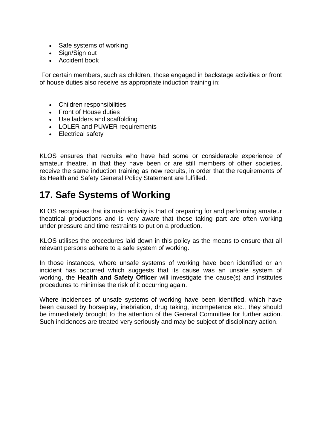- Safe systems of working
- Sign/Sign out
- Accident book

For certain members, such as children, those engaged in backstage activities or front of house duties also receive as appropriate induction training in:

- Children responsibilities
- Front of House duties
- Use ladders and scaffolding
- LOLER and PUWER requirements
- Electrical safety

KLOS ensures that recruits who have had some or considerable experience of amateur theatre, in that they have been or are still members of other societies, receive the same induction training as new recruits, in order that the requirements of its Health and Safety General Policy Statement are fulfilled.

## **17. Safe Systems of Working**

KLOS recognises that its main activity is that of preparing for and performing amateur theatrical productions and is very aware that those taking part are often working under pressure and time restraints to put on a production.

KLOS utilises the procedures laid down in this policy as the means to ensure that all relevant persons adhere to a safe system of working.

In those instances, where unsafe systems of working have been identified or an incident has occurred which suggests that its cause was an unsafe system of working, the **Health and Safety Officer** will investigate the cause(s) and institutes procedures to minimise the risk of it occurring again.

Where incidences of unsafe systems of working have been identified, which have been caused by horseplay, inebriation, drug taking, incompetence etc., they should be immediately brought to the attention of the General Committee for further action. Such incidences are treated very seriously and may be subject of disciplinary action.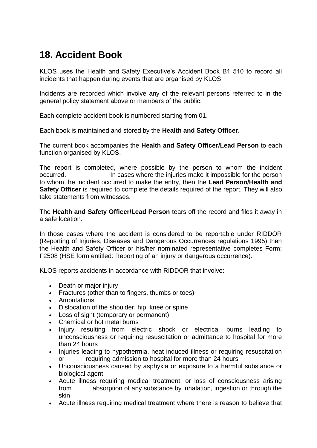# **18. Accident Book**

KLOS uses the Health and Safety Executive's Accident Book B1 510 to record all incidents that happen during events that are organised by KLOS.

Incidents are recorded which involve any of the relevant persons referred to in the general policy statement above or members of the public.

Each complete accident book is numbered starting from 01.

Each book is maintained and stored by the **Health and Safety Officer.** 

The current book accompanies the **Health and Safety Officer/Lead Person** to each function organised by KLOS.

The report is completed, where possible by the person to whom the incident occurred. In cases where the injuries make it impossible for the person to whom the incident occurred to make the entry, then the **Lead Person/Health and Safety Officer** is required to complete the details required of the report. They will also take statements from witnesses.

The **Health and Safety Officer/Lead Person** tears off the record and files it away in a safe location.

In those cases where the accident is considered to be reportable under RIDDOR (Reporting of Injuries, Diseases and Dangerous Occurrences regulations 1995) then the Health and Safety Officer or his/her nominated representative completes Form: F2508 (HSE form entitled: Reporting of an injury or dangerous occurrence).

KLOS reports accidents in accordance with RIDDOR that involve:

- Death or major injury
- Fractures (other than to fingers, thumbs or toes)
- Amputations
- Dislocation of the shoulder, hip, knee or spine
- Loss of sight (temporary or permanent)
- Chemical or hot metal burns
- Injury resulting from electric shock or electrical burns leading to unconsciousness or requiring resuscitation or admittance to hospital for more than 24 hours
- Injuries leading to hypothermia, heat induced illness or requiring resuscitation or requiring admission to hospital for more than 24 hours
- Unconsciousness caused by asphyxia or exposure to a harmful substance or biological agent
- Acute illness requiring medical treatment, or loss of consciousness arising from absorption of any substance by inhalation, ingestion or through the skin
- Acute illness requiring medical treatment where there is reason to believe that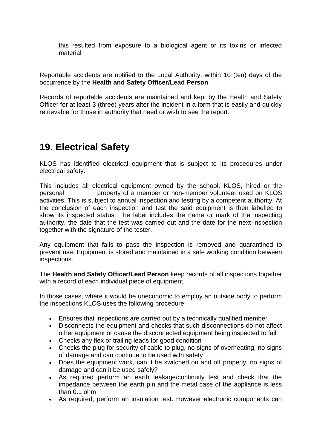this resulted from exposure to a biological agent or its toxins or infected material

Reportable accidents are notified to the Local Authority, within 10 (ten) days of the occurrence by the **Health and Safety Officer/Lead Person**

Records of reportable accidents are maintained and kept by the Health and Safety Officer for at least 3 (three) years after the incident in a form that is easily and quickly retrievable for those in authority that need or wish to see the report.

### **19. Electrical Safety**

KLOS has identified electrical equipment that is subject to its procedures under electrical safety.

This includes all electrical equipment owned by the school, KLOS, hired or the personal property of a member or non-member volunteer used on KLOS activities. This is subject to annual inspection and testing by a competent authority. At the conclusion of each inspection and test the said equipment is then labelled to show its inspected status. The label includes the name or mark of the inspecting authority, the date that the test was carried out and the date for the next inspection together with the signature of the tester.

Any equipment that fails to pass the inspection is removed and quarantined to prevent use. Equipment is stored and maintained in a safe working condition between inspections.

The **Health and Safety Officer/Lead Person** keep records of all inspections together with a record of each individual piece of equipment.

In those cases, where it would be uneconomic to employ an outside body to perform the inspections KLOS uses the following procedure:

- Ensures that inspections are carried out by a technically qualified member.
- Disconnects the equipment and checks that such disconnections do not affect other equipment or cause the disconnected equipment being inspected to fail
- Checks any flex or trailing leads for good condition
- Checks the plug for security of cable to plug, no signs of overheating, no signs of damage and can continue to be used with safety
- Does the equipment work, can it be switched on and off properly, no signs of damage and can it be used safely?
- As required perform an earth leakage/continuity test and check that the impedance between the earth pin and the metal case of the appliance is less than 0.1 ohm
- As required, perform an insulation test. However electronic components can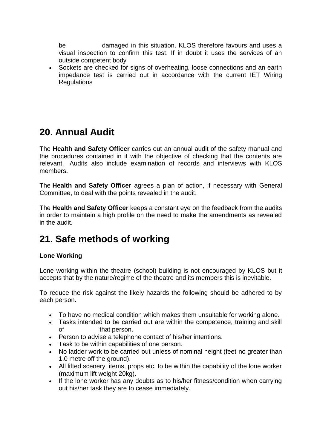be damaged in this situation. KLOS therefore favours and uses a visual inspection to confirm this test. If in doubt it uses the services of an outside competent body

 Sockets are checked for signs of overheating, loose connections and an earth impedance test is carried out in accordance with the current IET Wiring **Regulations** 

### **20. Annual Audit**

The **Health and Safety Officer** carries out an annual audit of the safety manual and the procedures contained in it with the objective of checking that the contents are relevant. Audits also include examination of records and interviews with KLOS members.

The **Health and Safety Officer** agrees a plan of action, if necessary with General Committee, to deal with the points revealed in the audit.

The **Health and Safety Officer** keeps a constant eye on the feedback from the audits in order to maintain a high profile on the need to make the amendments as revealed in the audit.

### **21. Safe methods of working**

### **Lone Working**

Lone working within the theatre (school) building is not encouraged by KLOS but it accepts that by the nature/regime of the theatre and its members this is inevitable.

To reduce the risk against the likely hazards the following should be adhered to by each person.

- To have no medical condition which makes them unsuitable for working alone.
- Tasks intended to be carried out are within the competence, training and skill of that person.
- Person to advise a telephone contact of his/her intentions.
- Task to be within capabilities of one person.
- No ladder work to be carried out unless of nominal height (feet no greater than 1.0 metre off the ground).
- All lifted scenery, items, props etc. to be within the capability of the lone worker (maximum lift weight 20kg).
- If the lone worker has any doubts as to his/her fitness/condition when carrying out his/her task they are to cease immediately.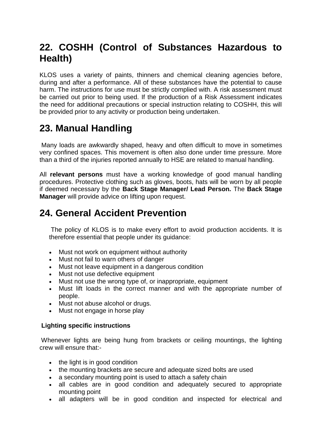## **22. COSHH (Control of Substances Hazardous to Health)**

KLOS uses a variety of paints, thinners and chemical cleaning agencies before, during and after a performance. All of these substances have the potential to cause harm. The instructions for use must be strictly complied with. A risk assessment must be carried out prior to being used. If the production of a Risk Assessment indicates the need for additional precautions or special instruction relating to COSHH, this will be provided prior to any activity or production being undertaken.

# **23. Manual Handling**

Many loads are awkwardly shaped, heavy and often difficult to move in sometimes very confined spaces. This movement is often also done under time pressure. More than a third of the injuries reported annually to HSE are related to manual handling.

All **relevant persons** must have a working knowledge of good manual handling procedures. Protective clothing such as gloves, boots, hats will be worn by all people if deemed necessary by the **Back Stage Manager/ Lead Person.** The **Back Stage Manager** will provide advice on lifting upon request.

## **24. General Accident Prevention**

The policy of KLOS is to make every effort to avoid production accidents. It is therefore essential that people under its guidance:

- Must not work on equipment without authority
- Must not fail to warn others of danger
- Must not leave equipment in a dangerous condition
- Must not use defective equipment
- Must not use the wrong type of, or inappropriate, equipment
- Must lift loads in the correct manner and with the appropriate number of people.
- Must not abuse alcohol or drugs.
- Must not engage in horse play

### **Lighting specific instructions**

Whenever lights are being hung from brackets or ceiling mountings, the lighting crew will ensure that:-

- the light is in good condition
- the mounting brackets are secure and adequate sized bolts are used
- a secondary mounting point is used to attach a safety chain
- all cables are in good condition and adequately secured to appropriate mounting point
- all adapters will be in good condition and inspected for electrical and